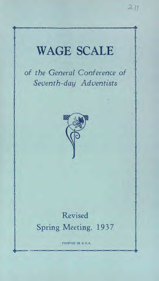# **l** ort 111 - 111 - 111 - 111 - 111 - 111 - 111 - 111 - 111 - 111 - 111 - 111 - 111 - 111 - 111 - 111 - 111 - 111 WAGE SCALE *of the General Conference of Seventh-day Adventists*  Revised Spring Meeting, 1937 PRINTED IN U.S.A.

 $211$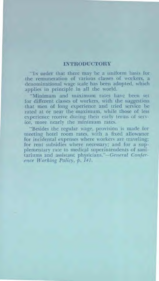## **INTRODUCTORY**

"IN order that there may be a uniform basis for the remuneration of various classes of workers, a denominational wage scale has been adopted, which applies in principle in all the world.

"Minimum and maximum rates have been set for different classes of workers, with the suggestion that men of long experience and tried service be rated at or near the -maximum, while those of less experience receive during their early terms of service, more nearly the minimum rates.

"Besides the regular wage, provision is made for meeting hotel room rates, with a fixed allowance for incidental expenses where workers are traveling; for rent subsidies where necessary; and for a supplementary rate to medical superintendents of sanitariums and assistant physicians."—General *Conference Working Policy,* p. *141.*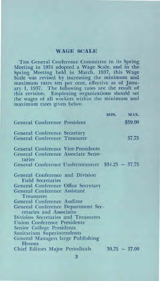# WAGE SCALE

THE General Conference Committee in its Spring Meeting in 1934 adopted a Wage Scale, and in the Spring Meeting held in March, 1937, this Wage Scale was revised by increasing the minimum **and**  maximum rates ten per cent, effective as of January 1, 1937. The following rates are the result of this revision. Employing organizations should set the wages of all workers within the minimum and maximum rates given below.

|               |                                                          |                                                   | MIN. | MAX.            |
|---------------|----------------------------------------------------------|---------------------------------------------------|------|-----------------|
|               | General Conference President                             |                                                   |      | \$39.00         |
|               | General Conference Secretary                             |                                                   |      |                 |
|               | <b>General Conference Treasurer</b>                      |                                                   |      | 37.75           |
|               |                                                          | <b>General Conference Vice-Presidents</b>         |      |                 |
| taries        |                                                          | General Conference Associate Secre-               |      |                 |
|               |                                                          | General Conference Undertreasurer \$34.25 - 37.75 |      |                 |
|               | <b>Field Secretaries</b>                                 | General Conference and Division                   |      |                 |
|               |                                                          | General Conference Office Secretary               |      |                 |
|               | <b>General Conference Assistant</b><br><b>Treasurers</b> |                                                   |      |                 |
|               | <b>General Conference Auditor</b>                        |                                                   |      |                 |
|               | retaries and Associates                                  | General Conference Department Sec-                |      |                 |
|               |                                                          | Division Secretaries and Treasurers               |      |                 |
|               | <b>Union Conference Presidents</b>                       |                                                   |      |                 |
|               | Senior College Presidents                                |                                                   |      |                 |
|               | Sanitarium Superintendents                               |                                                   |      |                 |
| <b>Houses</b> |                                                          | General Managers large Publishing                 |      |                 |
|               |                                                          | <b>Chief Editors Major Periodicals</b>            |      | $30.75 - 37.00$ |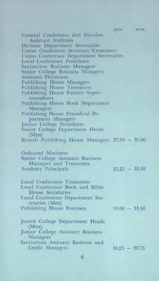**MIN. MAX.**  General Conference and Division Assistant Auditors Division Department Secretaries Union Conference Secretary-Treasurers Union Conference Department Secretaries Local Conference Presidents Sanitarium Business Managers Senior College Business Managers Assistant Physicians Publishing House Managers Publishing House Treasurers Publishing House Factory Superintendents Publishing House Book Department Managers Publishing House Periodical Department Managers Junior College Presidents Senior College Department Heads (Men) Branch Publishing House Managers 27.00 — 35.00 Ordained Ministers Senior College Assistant Business Managers and Treasurers Academy Principals Local Conference Treasurers Local Conference Book and Bible House. Secretaries Local Conference Department Secretaries (Men) Publishing House Foremen Junior College Department Heads (Men) Junior College Assistant Business Managers Sanitarium Assistant Business and Credit Managers  $25.25 - 33.50$  $18.00 - 33.50$ 16.25 — 30.75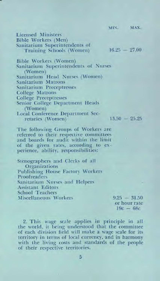MIN. MAX.  $16.25 - 27.00$ Licensed Ministers Bible Workers (Men) Sanitarium Superintendents of Training Schools (Women) Bible Workers (Women) Sanitarium Superintendents of Nurses (Women) Sanitarium Head Nurses (Women) Sanitarium Matrons Sanitarium Preceptresses College Matrons College Preceptresses Senior College Department Heads (Women) Local Conference Department Secretaries (Women) 13.50 — 25.25 The following Groups of Workers are referred to their respective committees and boards for audit within the limit of the given rates, according to experience, ability, responsibilities: Stenographers and Clerks of all Organizations Publishing House Factory Workers Proofreaders Sanitarium Nurses and Helpers Assistant Editors School Teachers Miscellaneous Workers  $9.25 - 31.50$ 

or hour rate  $19c - 68c$ 

2. This wage scale applies in principle in all the world, it being understood that the committee of each division field will make a wage scale for its territory in terms of local currency, and in harmony with the living costs and standards of the people of their respective territories.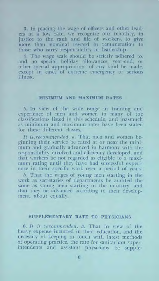3. In placing the wage of officers and other leaders at a low rate, we recognize our inability, in justice to the rank and file of workers, to give more than nominal reward in remuneration to those who carry responsibility of leadership.

4. The wage scale should be strictly adhered to, and no special holiday allowances, year-end, or other special appropriations of any kind be made, except in cases of extreme emergency or serious illness.

### **MINIMUM AND MAXIMUM RATES**

5. In view of the wide range in training and experience of men and women in many of the classifications listed in this schedule, and inasmuch as minimum and maximum rates have been stated for these different classes,

*It is,recommended,* a. That men and women beginning their service be rated at or near the minimum and gradually advanced in harmony with the responsibility involved and efficiency developed, and that workers he not regarded as eligible to a maximum rating until they have had successful experience in their specific work over a period of years.

*b.* That the wages of young men starting in the work as secretaries of departments be audited the same as young men starting in the ministry, and that they be advanced according to their development, about equally.

### **SUPPLEMENTARY RATE TO PHYSICIANS**

*6. It is recommended,* a. That in view of the heavy expense incurred in their education, and the necessity of keeping in touch with latest methods of operating practice, the rate for sanitarium superintendents and assistant physicians be supple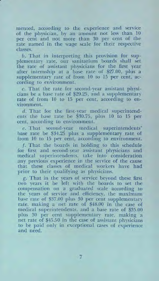mented, according to the experience and service of the physician, by an amount not less than 10 per cent and not more than 30 per cent of the rate named in the wage scale for their respective classes.

b. That in interpreting this provision for supplementary rate, our sanitarium boards shall set the rate of assistant physicians for the first year after internship at a base rate of \$27.00, plus a supplementary rate of from 10 to 15 per cent, according to environment.

c. That the rate for second-year assistant physicians be a base rate of \$29.25, and a supplementary rate of from 10 to 15 per cent, according to environment.

d. That for the first-year medical superintendents the base rate be \$30.75, plus 10 to 15 per cent, according to environment.

e. That second-year medical superintendents' base rate be \$34.25 plus a supplementary rate of from 10 to 15 per cent, according to environment.

f. That the boards in holding to this schedule for first and second-year assistant physicians and medical superintendents, take into consideration any previous experience in the service of the cause that these classes of medical workers have had prior to their qualifying as physicians.

g. That in the years of service beyond these first two years it be left with the boards to set the compensation on a graduated scale according to the years of service and efficiency, the maximum base rate of \$37.00 plus 30 per cent supplementary rate, making a net rate of \$48.00 in the case of medical superintendents, and a base rate of \$35.00 plus 30 per cent supplementary rate, making a net rate of \$45.50 in the case of assistant physicians to be paid only in exceptional cases of experience and need.